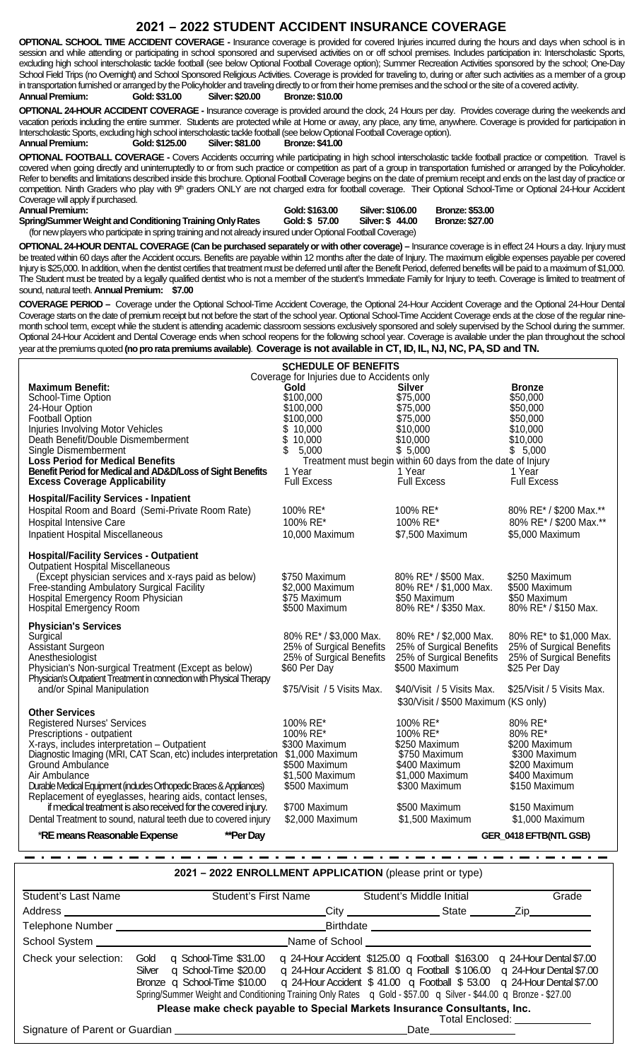## **2021 – 2022 STUDENT ACCIDENT INSURANCE COVERAGE**

**OPTIONAL SCHOOL TIME ACCIDENT COVERAGE -** Insurance coverage is provided for covered Injuries incurred during the hours and days when school is in session and while attending or participating in school sponsored and supervised activities on or off school premises. Includes participation in: Interscholastic Sports, excluding high school interscholastic tackle football (see below Optional Football Coverage option); Summer Recreation Activities sponsored by the school; One-Day School Field Trips (no Overnight) and School Sponsored Religious Activities. Coverage is provided for traveling to, during or after such activities as a member of a group in transportation furnished or arranged by the Policyholder and traveling directly to or from their home premises and the school or the site of a covered activity.<br>Annual Premium: Gold: \$31.00 Silver: \$20.00 Bronze: \$10.00 **AnnualPremium: Gold:\$31.00 Silver:\$20.00 Bronze:\$10.00**

**OPTIONAL 24-HOUR ACCIDENT COVERAGE -** Insurance coverage is provided around the clock, 24 Hours per day. Provides coverage during the weekends and vacation periods including the entire summer. Students are protected while at Home or away, any place, any time, anywhere. Coverage is provided for participation in Interscholastic Sports, excluding high school interscholastic tackle football (see below Optional Football Coverage option).<br>Annual Premium: Cold: \$125.00 Silver: \$81.00 Bronze: \$41.00 **AnnualPremium: Gold:\$125.00 Silver:\$81.00 Bronze:\$41.00**

**OPTIONAL FOOTBALL COVERAGE -** Covers Accidents occurring while participating in high school interscholastic tackle football practice or competition. Travel is covered when going directly and uninterruptedly to or from such practice or competition as part of a group in transportation furnished or arranged by the Policyholder. Refer to benefits and limitations described inside this brochure. Optional Football Coverage begins on the date of premium receipt and ends on the last day of practice or competition. Ninth Graders who play with 9<sup>th</sup> graders ONLY are not charged extra for football coverage. Their Optional School-Time or Optional 24-Hour Accident Coverage will apply if purchased.

**AnnualPremium: Gold:\$163.00 Silver:\$106.00 Bronze:\$53.00 Spring/Summer Weight and Conditioning Training Only Rates** 

(for new players who participate in spring training and not already insured under Optional Football Coverage)

OPTIONAL 24-HOUR DENTAL COVERAGE (Can be purchased separately or with other coverage) - Insurance coverage is in effect 24 Hours a day. Injury must be treated within 60 days after the Accident occurs. Benefits are payable within 12 months after the date of Injury. The maximum eligible expenses payable per covered Injury is \$25,000. In addition, when the dentist certifies that treatment must be deferred until after the Benefit Period, deferred benefits will be paid to a maximum of \$1,000. The Student must be treated by a legally qualified dentist who is not a member of the student's Immediate Family for Injury to teeth. Coverage is limited to treatment of sound, natural teeth. **AnnualPremium: \$7.00**

**COVERAGE PERIOD –** Coverage under the Optional School-Time Accident Coverage, the Optional 24-Hour Accident Coverage and the Optional 24-Hour Dental Coverage starts on the date of premium receipt but not before the start of the school year. Optional School-Time Accident Coverage ends at the close of the regular ninemonth school term, except while the student is attending academic classroom sessions exclusively sponsored and solely supervised by the School during the summer. Optional 24-Hour Accident and Dental Coverage ends when school reopens for the following school year. Coverage is available under the plan throughout the school year at the premiums quoted **(noproratapremiums available)**. **Coverageis notavailablein CT,ID,IL, NJ, NC, PA,SD and TN.**

| <b>SCHEDULE OF BENEFITS</b>                                          |                                                             |                                                      |                                                      |  |  |  |
|----------------------------------------------------------------------|-------------------------------------------------------------|------------------------------------------------------|------------------------------------------------------|--|--|--|
|                                                                      | Coverage for Injuries due to Accidents only                 |                                                      |                                                      |  |  |  |
| <b>Maximum Benefit:</b>                                              | Gold                                                        | <b>Silver</b>                                        | <b>Bronze</b>                                        |  |  |  |
| School-Time Option                                                   | \$100,000                                                   | \$75,000                                             | \$50,000                                             |  |  |  |
| 24-Hour Option                                                       | \$100,000                                                   | \$75,000                                             | \$50,000                                             |  |  |  |
| Football Option                                                      | \$100,000                                                   | \$75,000                                             | \$50,000                                             |  |  |  |
| Injuries Involving Motor Vehicles                                    | \$10,000                                                    | \$10,000                                             | \$10,000                                             |  |  |  |
| Death Benefit/Double Dismemberment                                   | \$<br>10,000                                                | \$10,000                                             | \$10,000                                             |  |  |  |
| Single Dismemberment                                                 | \$<br>5,000                                                 | \$5,000                                              | \$5,000                                              |  |  |  |
| <b>Loss Period for Medical Benefits</b>                              | Treatment must begin within 60 days from the date of Injury |                                                      |                                                      |  |  |  |
| Benefit Period for Medical and AD&D/Loss of Sight Benefits           | 1 Year<br><b>Full Excess</b>                                | 1 Year<br><b>Full Excess</b>                         | 1 Year                                               |  |  |  |
| <b>Excess Coverage Applicability</b>                                 |                                                             |                                                      | <b>Full Excess</b>                                   |  |  |  |
| <b>Hospital/Facility Services - Inpatient</b>                        |                                                             |                                                      |                                                      |  |  |  |
| Hospital Room and Board (Semi-Private Room Rate)                     | 100% RE*                                                    | 100% RE*                                             | 80% RE* / \$200 Max.**                               |  |  |  |
| <b>Hospital Intensive Care</b>                                       | 100% RE*                                                    | 100% RE*                                             | 80% RE* / \$200 Max.**                               |  |  |  |
| <b>Inpatient Hospital Miscellaneous</b>                              | 10,000 Maximum                                              | \$7,500 Maximum                                      | \$5,000 Maximum                                      |  |  |  |
|                                                                      |                                                             |                                                      |                                                      |  |  |  |
| <b>Hospital/Facility Services - Outpatient</b>                       |                                                             |                                                      |                                                      |  |  |  |
| <b>Outpatient Hospital Miscellaneous</b>                             |                                                             |                                                      |                                                      |  |  |  |
| (Except physician services and x-rays paid as below)                 | \$750 Maximum                                               | 80% RE* / \$500 Max.                                 | \$250 Maximum                                        |  |  |  |
| Free-standing Ambulatory Surgical Facility                           | \$2,000 Maximum                                             | 80% RE* / \$1,000 Max.                               | \$500 Maximum                                        |  |  |  |
| Hospital Emergency Room Physician                                    | \$75 Maximum                                                | \$50 Maximum                                         | \$50 Maximum                                         |  |  |  |
| <b>Hospital Emergency Room</b>                                       | \$500 Maximum                                               | 80% RE* / \$350 Max.                                 | 80% RE* / \$150 Max.                                 |  |  |  |
|                                                                      |                                                             |                                                      |                                                      |  |  |  |
| <b>Physician's Services</b>                                          |                                                             |                                                      | 80% RE* to \$1,000 Max.                              |  |  |  |
| Surgical                                                             | 80% RE* / \$3,000 Max.                                      | 80% RE* / \$2,000 Max.                               |                                                      |  |  |  |
| Assistant Surgeon<br>Anesthesiologist                                | 25% of Surgical Benefits<br>25% of Surgical Benefits        | 25% of Surgical Benefits<br>25% of Surgical Benefits | 25% of Surgical Benefits<br>25% of Surgical Benefits |  |  |  |
| Physician's Non-surgical Treatment (Except as below)                 | \$60 Per Day                                                | \$500 Maximum                                        | \$25 Per Day                                         |  |  |  |
| Physician's Outpatient Treatment in connection with Physical Therapy |                                                             |                                                      |                                                      |  |  |  |
| and/or Spinal Manipulation                                           | \$75/Visit / 5 Visits Max.                                  | \$40/Visit / 5 Visits Max.                           | \$25/Visit / 5 Visits Max.                           |  |  |  |
|                                                                      |                                                             | \$30/Visit / \$500 Maximum (KS only)                 |                                                      |  |  |  |
| <b>Other Services</b>                                                |                                                             |                                                      |                                                      |  |  |  |
| <b>Registered Nurses' Services</b>                                   | 100% RE*                                                    | 100% RE*                                             | 80% RE*                                              |  |  |  |
| Prescriptions - outpatient                                           | 100% RE*                                                    | 100% RE*                                             | 80% RE*                                              |  |  |  |
| X-rays, includes interpretation - Outpatient                         | \$300 Maximum                                               | \$250 Maximum                                        | \$200 Maximum                                        |  |  |  |
| Diagnostic Imaging (MRI, CAT Scan, etc) includes interpretation      | \$1,000 Maximum                                             | \$750 Maximum                                        | \$300 Maximum                                        |  |  |  |
| Ground Ambulance                                                     | \$500 Maximum                                               | \$400 Maximum                                        | \$200 Maximum                                        |  |  |  |
| Air Ambulance                                                        | \$1,500 Maximum                                             | \$1,000 Maximum                                      | \$400 Maximum                                        |  |  |  |
| Durable Medical Equipment (indudes Orthopedic Braces & Appliances)   | \$500 Maximum                                               | \$300 Maximum                                        | \$150 Maximum                                        |  |  |  |
| Replacement of eyeglasses, hearing aids, contact lenses,             |                                                             |                                                      |                                                      |  |  |  |
| if medical treatment is also received for the covered injury.        | \$700 Maximum                                               | \$500 Maximum                                        | \$150 Maximum                                        |  |  |  |
| Dental Treatment to sound, natural teeth due to covered injury       | \$2,000 Maximum                                             | \$1,500 Maximum                                      | \$1,000 Maximum                                      |  |  |  |
|                                                                      |                                                             |                                                      |                                                      |  |  |  |
| *RE means Reasonable Expense<br>**Per Day                            |                                                             |                                                      | GER_0418 EFTB(NTL GSB)                               |  |  |  |

**2021 – 2022 ENROLLMENT APPLICATION** (please print or type)

| <b>Student's Last Name</b> | <b>Student's First Name</b>                                                                                                                                                                                                                                              |                               | Student's Middle Initial                                                                                                                                                                                                                                      | Grade                                                                                                                                            |  |
|----------------------------|--------------------------------------------------------------------------------------------------------------------------------------------------------------------------------------------------------------------------------------------------------------------------|-------------------------------|---------------------------------------------------------------------------------------------------------------------------------------------------------------------------------------------------------------------------------------------------------------|--------------------------------------------------------------------------------------------------------------------------------------------------|--|
| Address __________         |                                                                                                                                                                                                                                                                          |                               |                                                                                                                                                                                                                                                               |                                                                                                                                                  |  |
|                            |                                                                                                                                                                                                                                                                          |                               |                                                                                                                                                                                                                                                               |                                                                                                                                                  |  |
|                            |                                                                                                                                                                                                                                                                          | Name of School Name of School |                                                                                                                                                                                                                                                               |                                                                                                                                                  |  |
| Check your selection:      | Gold<br>$\Box$ School-Time \$31.00<br>Silver<br>Bronze q School-Time \$10.00 q 24-Hour Accident $$41.00$ q Football $$53.00$ q 24-Hour Dental \$7.00<br>Spring/Summer Weight and Conditioning Training Only Rates q Gold - \$57.00 q Silver - \$44.00 q Bronze - \$27.00 |                               | $\alpha$ 24-Hour Accident \$125.00 $\alpha$ Football \$163.00<br>$\Box$ School-Time \$20.00 $\Box$ 24-Hour Accident \$81.00 $\Box$ Football \$106.00 $\Box$ 24-Hour Dental \$7.00<br>Please make check payable to Special Markets Insurance Consultants, Inc. | $\alpha$ 24-Hour Dental \$7.00<br>Total Enclosed: with the control of the control of the control of the control of the control of the control of |  |
|                            |                                                                                                                                                                                                                                                                          |                               | Date<br>the control of the control of the control of                                                                                                                                                                                                          |                                                                                                                                                  |  |